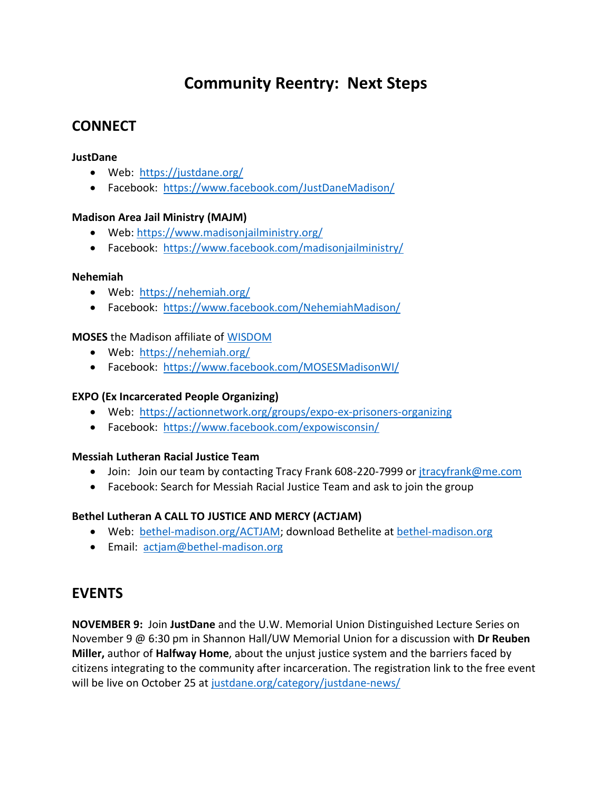# **Community Reentry: Next Steps**

### **CONNECT**

#### **JustDane**

- Web: <https://justdane.org/>
- Facebook: <https://www.facebook.com/JustDaneMadison/>

#### **Madison Area Jail Ministry (MAJM)**

- Web:<https://www.madisonjailministry.org/>
- Facebook: <https://www.facebook.com/madisonjailministry/>

#### **Nehemiah**

- Web: <https://nehemiah.org/>
- Facebook: <https://www.facebook.com/NehemiahMadison/>

#### **MOSES** the Madison affiliate of [WISDOM](https://wisdomwisconsin.org/)

- Web: <https://nehemiah.org/>
- Facebook: <https://www.facebook.com/MOSESMadisonWI/>

#### **EXPO (Ex Incarcerated People Organizing)**

- Web: <https://actionnetwork.org/groups/expo-ex-prisoners-organizing>
- Facebook: <https://www.facebook.com/expowisconsin/>

#### **Messiah Lutheran Racial Justice Team**

- Join: Join our team by contacting Tracy Frank 608-220-7999 or [jtracyfrank@me.com](mailto:jtracyfrank@me.com)
- Facebook: Search for Messiah Racial Justice Team and ask to join the group

#### **Bethel Lutheran A CALL TO JUSTICE AND MERCY (ACTJAM)**

- Web: [bethel-madison.org/ACTJAM;](http://bethel-madison.org/actjam) download Bethelite at [bethel-madison.org](http://bethel-madison.org/)
- **Email: actiam@bethel-madison.org**

### **EVENTS**

**NOVEMBER 9:** Join **JustDane** and the U.W. Memorial Union Distinguished Lecture Series on November 9 @ 6:30 pm in Shannon Hall/UW Memorial Union for a discussion with **Dr Reuben Miller,** author of **Halfway Home**, about the unjust justice system and the barriers faced by citizens integrating to the community after incarceration. The registration link to the free event will be live on October 25 at [justdane.org/category/justdane-news/](http://justdane.org/category/justdane-news/)